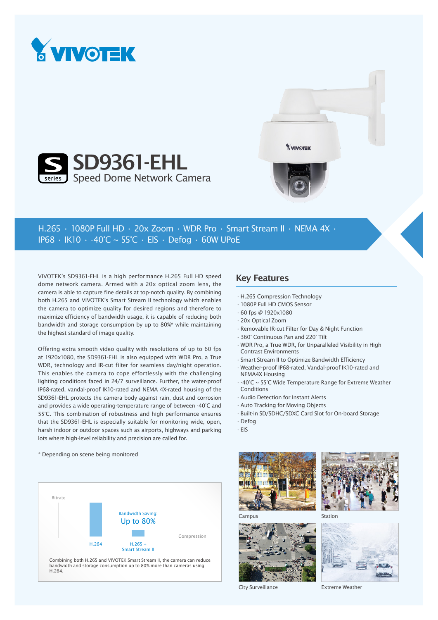





## H.265 • 1080P Full HD • 20x Zoom • WDR Pro • Smart Stream II • NEMA 4X • IP68 • IK10 • -40°C ~ 55°C • ElS • Defog • 60W UPoE

VIVOTEK's SD9361-EHL is a high performance H.265 Full HD speed dome network camera. Armed with a 20x optical zoom lens, the camera is able to capture fine details at top-notch quality. By combining both H.265 and VIVOTEK's Smart Stream II technology which enables the camera to optimize quality for desired regions and therefore to maximize efficiency of bandwidth usage, it is capable of reducing both bandwidth and storage consumption by up to 80%\* while maintaining the highest standard of image quality.

Offering extra smooth video quality with resolutions of up to 60 fps at 1920x1080, the SD9361-EHL is also equipped with WDR Pro, a True WDR, technology and IR-cut filter for seamless day/night operation. This enables the camera to cope effortlessly with the challenging lighting conditions faced in 24/7 surveillance. Further, the water-proof IP68-rated, vandal-proof IK10-rated and NEMA 4X-rated housing of the SD9361-EHL protects the camera body against rain, dust and corrosion and provides a wide operating-temperature range of between -40°C and 55°C. This combination of robustness and high performance ensures that the SD9361-EHL is especially suitable for monitoring wide, open, harsh indoor or outdoor spaces such as airports, highways and parking lots where high-level reliability and precision are called for.

## \* Depending on scene being monitored



bandwidth and storage consumption up to 80% more than cameras using H.264.

## Key Features

- •H.265 Compression Technology
- •1080P Full HD CMOS Sensor
- •60 fps @ 1920x1080
- •20x Optical Zoom
- •Removable IR-cut Filter for Day & Night Function
- •360° Continuous Pan and 220° Tilt
- •WDR Pro, a True WDR, for Unparalleled Visibility in High Contrast Environments
- •Smart Stream II to Optimize Bandwidth Efficiency
- •Weather-proof IP68-rated, Vandal-proof IK10-rated and NEMA4X Housing
- •-40°C ~ 55°C Wide Temperature Range for Extreme Weather Conditions
- •Audio Detection for Instant Alerts
- •Auto Tracking for Moving Objects
- •Built-in SD/SDHC/SDXC Card Slot for On-board Storage
- •Defog

Campus

•EIS





Station







City Surveillance

Extreme Weather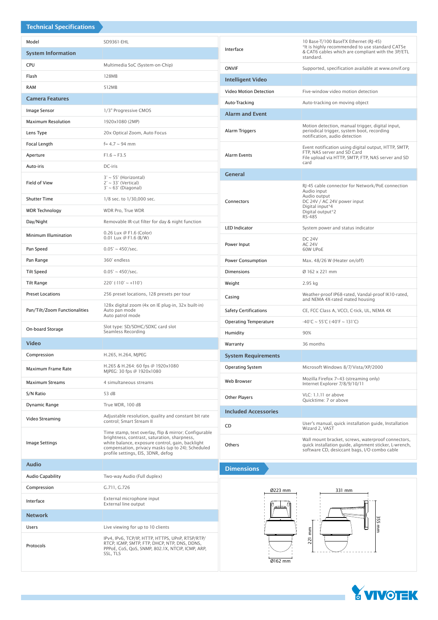| <b>Technical Specifications</b> |                                                                                                                                                                                                                                                      |                                                                                                          |                                                                                                                                                              |  |  |  |
|---------------------------------|------------------------------------------------------------------------------------------------------------------------------------------------------------------------------------------------------------------------------------------------------|----------------------------------------------------------------------------------------------------------|--------------------------------------------------------------------------------------------------------------------------------------------------------------|--|--|--|
| Model                           | SD9361-EHL                                                                                                                                                                                                                                           |                                                                                                          | 10 Base-T/100 BaseTX Ethernet (RJ-45)                                                                                                                        |  |  |  |
| <b>System Information</b>       |                                                                                                                                                                                                                                                      | Interface                                                                                                | *It is highly recommended to use standard CAT5e<br>& CAT6 cables which are compliant with the 3P/ETL<br>standard.                                            |  |  |  |
| <b>CPU</b>                      | Multimedia SoC (System-on-Chip)                                                                                                                                                                                                                      | <b>ONVIF</b><br>Supported, specification available at www.onvif.org                                      |                                                                                                                                                              |  |  |  |
| Flash                           | 128MB                                                                                                                                                                                                                                                | <b>Intelligent Video</b>                                                                                 |                                                                                                                                                              |  |  |  |
| <b>RAM</b>                      | 512MB                                                                                                                                                                                                                                                |                                                                                                          |                                                                                                                                                              |  |  |  |
| <b>Camera Features</b>          |                                                                                                                                                                                                                                                      | Video Motion Detection<br>Five-window video motion detection                                             |                                                                                                                                                              |  |  |  |
| Image Sensor                    | 1/3" Progressive CMOS                                                                                                                                                                                                                                | Auto-tracking on moving object<br>Auto-Tracking                                                          |                                                                                                                                                              |  |  |  |
| <b>Maximum Resolution</b>       | 1920x1080 (2MP)                                                                                                                                                                                                                                      | <b>Alarm and Event</b>                                                                                   |                                                                                                                                                              |  |  |  |
| Lens Type                       | 20x Optical Zoom, Auto Focus                                                                                                                                                                                                                         | Alarm Triggers                                                                                           | Motion detection, manual trigger, digital input,<br>periodical trigger, system boot, recording<br>notification, audio detection                              |  |  |  |
| Focal Length                    | $f = 4.7 \sim 94$ mm                                                                                                                                                                                                                                 |                                                                                                          | Event notification using digital output, HTTP, SMTP,                                                                                                         |  |  |  |
| Aperture                        | $F1.6 \sim F3.5$                                                                                                                                                                                                                                     | FTP, NAS server and SD Card<br><b>Alarm Events</b><br>File upload via HTTP, SMTP, FTP, NAS server and SD |                                                                                                                                                              |  |  |  |
| Auto-iris                       | DC-iris                                                                                                                                                                                                                                              | card                                                                                                     |                                                                                                                                                              |  |  |  |
| Field of View                   | $3^{\circ} \sim 55^{\circ}$ (Horizontal)<br>$2^\circ \sim 33^\circ$ (Vertical)<br>$3^\circ \sim 63^\circ$ (Diagonal)                                                                                                                                 | <b>General</b><br>RJ-45 cable connector for Network/PoE connection<br>Audio input                        |                                                                                                                                                              |  |  |  |
| <b>Shutter Time</b>             | 1/8 sec. to 1/30,000 sec.                                                                                                                                                                                                                            | Connectors                                                                                               | Audio output<br>DC 24V / AC 24V power input<br>Digital input*4<br>Digital output*2                                                                           |  |  |  |
| <b>WDR Technology</b>           | WDR Pro, True WDR                                                                                                                                                                                                                                    |                                                                                                          |                                                                                                                                                              |  |  |  |
| Day/Night                       | Removable IR-cut filter for day & night function                                                                                                                                                                                                     |                                                                                                          | RS-485                                                                                                                                                       |  |  |  |
| Minimum Illumination            | 0.26 Lux @ F1.6 (Color)<br>0.01 Lux $@$ F1.6 (B/W)                                                                                                                                                                                                   | <b>LED Indicator</b><br>System power and status indicator<br><b>DC 24V</b>                               |                                                                                                                                                              |  |  |  |
| Pan Speed                       | $0.05^{\circ} \sim 450^{\circ}/sec.$                                                                                                                                                                                                                 | Power Input                                                                                              | <b>AC 24V</b><br>60W UPoE                                                                                                                                    |  |  |  |
| Pan Range                       | 360° endless                                                                                                                                                                                                                                         | Power Consumption                                                                                        | Max. 48/26 W (Heater on/off)                                                                                                                                 |  |  |  |
| <b>Tilt Speed</b>               | $0.05^{\circ} \sim 450^{\circ}/sec.$                                                                                                                                                                                                                 | <b>Dimensions</b>                                                                                        | Ø 162 x 221 mm                                                                                                                                               |  |  |  |
| Tilt Range                      | $220^\circ$ (-110° ~ +110°)                                                                                                                                                                                                                          | Weight                                                                                                   | 2.95 kg                                                                                                                                                      |  |  |  |
| <b>Preset Locations</b>         | 256 preset locations, 128 presets per tour                                                                                                                                                                                                           | Weather-proof IP68-rated, Vandal-proof IK10-rated,<br>Casing<br>and NEMA 4X-rated mated housing          |                                                                                                                                                              |  |  |  |
| Pan/Tilt/Zoom Functionalities   | 128x digital zoom (4x on IE plug-in, 32x built-in)<br>Auto pan mode<br>Auto patrol mode                                                                                                                                                              | <b>Safety Certifications</b><br>CE, FCC Class A, VCCI, C-tick, UL, NEMA 4X                               |                                                                                                                                                              |  |  |  |
| On-board Storage                | Slot type: SD/SDHC/SDXC card slot<br>Seamless Recording                                                                                                                                                                                              | <b>Operating Temperature</b><br>$-40^{\circ}$ C ~ 55 $^{\circ}$ C (-40 $^{\circ}$ F ~ 131 $^{\circ}$ C)  |                                                                                                                                                              |  |  |  |
| <b>Video</b>                    |                                                                                                                                                                                                                                                      | 90%<br>Humidity<br>36 months<br>Warranty                                                                 |                                                                                                                                                              |  |  |  |
| Compression                     | H.265, H.264, MJPEG                                                                                                                                                                                                                                  |                                                                                                          |                                                                                                                                                              |  |  |  |
|                                 | H.265 & H.264: 60 fps @ 1920x1080                                                                                                                                                                                                                    |                                                                                                          | <b>System Requirements</b>                                                                                                                                   |  |  |  |
| Maximum Frame Rate              | MJPEG: 30 fps @ 1920x1080                                                                                                                                                                                                                            | <b>Operating System</b>                                                                                  | Microsoft Windows 8/7/Vista/XP/2000<br>Mozilla Firefox 7~43 (streaming only)                                                                                 |  |  |  |
| Maximum Streams                 | 4 simultaneous streams                                                                                                                                                                                                                               |                                                                                                          | Web Browser<br>Internet Explorer 7/8/9/10/11                                                                                                                 |  |  |  |
| S/N Ratio                       | 53 dB                                                                                                                                                                                                                                                | <b>Other Players</b>                                                                                     | VLC: 1.1.11 or above<br>Quicktime: 7 or above                                                                                                                |  |  |  |
| Dynamic Range                   | True WDR, 100 dB                                                                                                                                                                                                                                     | <b>Included Accessories</b>                                                                              |                                                                                                                                                              |  |  |  |
| Video Streaming                 | Adjustable resolution, quality and constant bit rate<br>control; Smart Stream II                                                                                                                                                                     | User's manual, quick installation guide, Installation<br>CD<br>Wizard 2, VAST                            |                                                                                                                                                              |  |  |  |
| <b>Image Settings</b>           | Time stamp, text overlay, flip & mirror; Configurable<br>brightness, contrast, saturation, sharpness,<br>white balance, exposure control, gain, backlight<br>compensation, privacy masks (up to 24); Scheduled<br>profile settings, EIS, 3DNR, defog | Others                                                                                                   | Wall mount bracket, screws, waterproof connectors,<br>quick installation guide, alignment sticker, L-wrench,<br>software CD, desiccant bags, I/O combo cable |  |  |  |
| <b>Audio</b>                    |                                                                                                                                                                                                                                                      | <b>Dimensions</b>                                                                                        |                                                                                                                                                              |  |  |  |
| <b>Audio Capability</b>         | Two-way Audio (Full duplex)                                                                                                                                                                                                                          |                                                                                                          |                                                                                                                                                              |  |  |  |
| Compression                     | G.711, G.726                                                                                                                                                                                                                                         | Ø223 mm                                                                                                  | 331 mm                                                                                                                                                       |  |  |  |
| Interface                       | External microphone input<br>External line output                                                                                                                                                                                                    |                                                                                                          |                                                                                                                                                              |  |  |  |
| <b>Network</b>                  |                                                                                                                                                                                                                                                      |                                                                                                          | 355                                                                                                                                                          |  |  |  |
| Users                           | Live viewing for up to 10 clients                                                                                                                                                                                                                    |                                                                                                          | ∣≣                                                                                                                                                           |  |  |  |
| Protocols                       | IPv4, IPv6, TCP/IP, HTTP, HTTPS, UPnP, RTSP/RTP/<br>RTCP, IGMP, SMTP, FTP, DHCP, NTP, DNS, DDNS,<br>PPPOE, CoS, QoS, SNMP, 802.1X, NTCIP, ICMP, ARP,<br>SSL, TLS                                                                                     | 221 mm<br>Ø162 mm                                                                                        |                                                                                                                                                              |  |  |  |